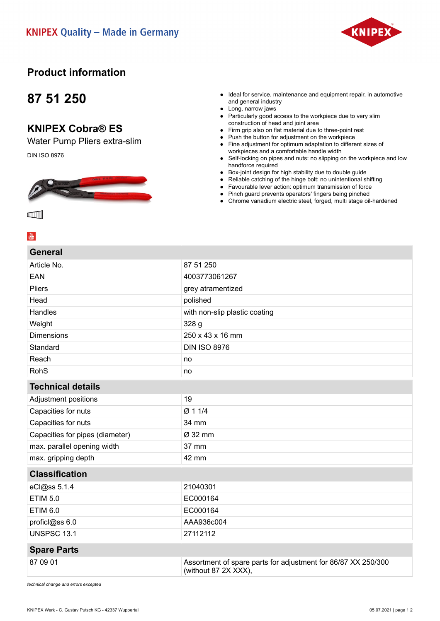

### **Product information**

## **87 51 250**

#### **KNIPEX Cobra® ES**

Water Pump Pliers extra-slim

DIN ISO 8976



- Ideal for service, maintenance and equipment repair, in automotive and general industry
- Long, narrow jaws
- Particularly good access to the workpiece due to very slim construction of head and joint area
- Firm grip also on flat material due to three-point rest
- Push the button for adjustment on the workpiece
- Fine adjustment for optimum adaptation to different sizes of workpieces and a comfortable handle width
- Self-locking on pipes and nuts: no slipping on the workpiece and low handforce required
- Box-joint design for high stability due to double guide
- Reliable catching of the hinge bolt: no unintentional shifting
- Favourable lever action: optimum transmission of force
- Pinch guard prevents operators' fingers being pinched
- Chrome vanadium electric steel, forged, multi stage oil-hardened

**ammi** 

# $\frac{You}{m}$

| <b>General</b>                  |                                                                                       |
|---------------------------------|---------------------------------------------------------------------------------------|
| Article No.                     | 87 51 250                                                                             |
| EAN                             | 4003773061267                                                                         |
| <b>Pliers</b>                   | grey atramentized                                                                     |
| Head                            | polished                                                                              |
| Handles                         | with non-slip plastic coating                                                         |
| Weight                          | 328 g                                                                                 |
| <b>Dimensions</b>               | 250 x 43 x 16 mm                                                                      |
| Standard                        | <b>DIN ISO 8976</b>                                                                   |
| Reach                           | no                                                                                    |
| <b>RohS</b>                     | no                                                                                    |
| <b>Technical details</b>        |                                                                                       |
| Adjustment positions            | 19                                                                                    |
| Capacities for nuts             | Ø 1 1/4                                                                               |
| Capacities for nuts             | 34 mm                                                                                 |
| Capacities for pipes (diameter) | Ø 32 mm                                                                               |
| max. parallel opening width     | 37 mm                                                                                 |
| max. gripping depth             | 42 mm                                                                                 |
| <b>Classification</b>           |                                                                                       |
| eCl@ss 5.1.4                    | 21040301                                                                              |
| <b>ETIM 5.0</b>                 | EC000164                                                                              |
| <b>ETIM 6.0</b>                 | EC000164                                                                              |
| proficl@ss 6.0                  | AAA936c004                                                                            |
| <b>UNSPSC 13.1</b>              | 27112112                                                                              |
| <b>Spare Parts</b>              |                                                                                       |
| 87 09 01                        | Assortment of spare parts for adjustment for 86/87 XX 250/300<br>(without 87 2X XXX), |

*technical change and errors excepted*